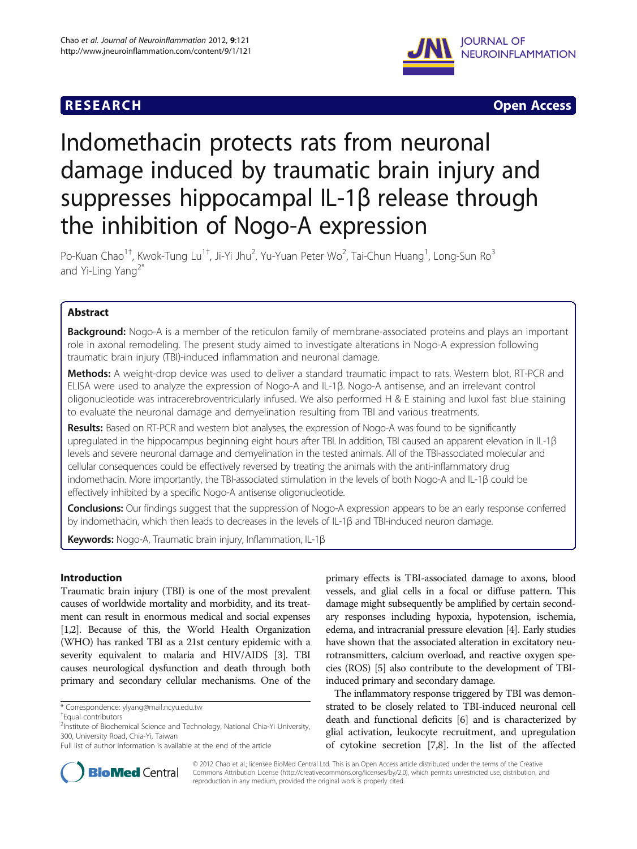## **RESEARCH RESEARCH** *CHECK <b>CHECK*



# Indomethacin protects rats from neuronal damage induced by traumatic brain injury and suppresses hippocampal IL-1β release through the inhibition of Nogo-A expression

Po-Kuan Chao<sup>1†</sup>, Kwok-Tung Lu<sup>1†</sup>, Ji-Yi Jhu<sup>2</sup>, Yu-Yuan Peter Wo<sup>2</sup>, Tai-Chun Huang<sup>1</sup>, Long-Sun Ro<sup>3</sup> and Yi-Ling Yang<sup>2\*</sup>

## Abstract

Background: Nogo-A is a member of the reticulon family of membrane-associated proteins and plays an important role in axonal remodeling. The present study aimed to investigate alterations in Nogo-A expression following traumatic brain injury (TBI)-induced inflammation and neuronal damage.

Methods: A weight-drop device was used to deliver a standard traumatic impact to rats. Western blot, RT-PCR and ELISA were used to analyze the expression of Nogo-A and IL-1β. Nogo-A antisense, and an irrelevant control oligonucleotide was intracerebroventricularly infused. We also performed H & E staining and luxol fast blue staining to evaluate the neuronal damage and demyelination resulting from TBI and various treatments.

Results: Based on RT-PCR and western blot analyses, the expression of Nogo-A was found to be significantly upregulated in the hippocampus beginning eight hours after TBI. In addition, TBI caused an apparent elevation in IL-1β levels and severe neuronal damage and demyelination in the tested animals. All of the TBI-associated molecular and cellular consequences could be effectively reversed by treating the animals with the anti-inflammatory drug indomethacin. More importantly, the TBI-associated stimulation in the levels of both Nogo-A and IL-1β could be effectively inhibited by a specific Nogo-A antisense oligonucleotide.

Conclusions: Our findings suggest that the suppression of Nogo-A expression appears to be an early response conferred by indomethacin, which then leads to decreases in the levels of IL-1β and TBI-induced neuron damage.

Keywords: Nogo-A, Traumatic brain injury, Inflammation, IL-1β

## Introduction

Traumatic brain injury (TBI) is one of the most prevalent causes of worldwide mortality and morbidity, and its treatment can result in enormous medical and social expenses [[1,2](#page-7-0)]. Because of this, the World Health Organization (WHO) has ranked TBI as a 21st century epidemic with a severity equivalent to malaria and HIV/AIDS [\[3](#page-7-0)]. TBI causes neurological dysfunction and death through both primary and secondary cellular mechanisms. One of the

\* Correspondence: [ylyang@mail.ncyu.edu.tw](mailto:ylyang@mail.ncyu.edu.tw) †

primary effects is TBI-associated damage to axons, blood vessels, and glial cells in a focal or diffuse pattern. This damage might subsequently be amplified by certain secondary responses including hypoxia, hypotension, ischemia, edema, and intracranial pressure elevation [\[4](#page-7-0)]. Early studies have shown that the associated alteration in excitatory neurotransmitters, calcium overload, and reactive oxygen species (ROS) [\[5](#page-7-0)] also contribute to the development of TBIinduced primary and secondary damage.

The inflammatory response triggered by TBI was demonstrated to be closely related to TBI-induced neuronal cell death and functional deficits [\[6](#page-7-0)] and is characterized by glial activation, leukocyte recruitment, and upregulation of cytokine secretion [[7,8](#page-7-0)]. In the list of the affected



© 2012 Chao et al.; licensee BioMed Central Ltd. This is an Open Access article distributed under the terms of the Creative Commons Attribution License [\(http://creativecommons.org/licenses/by/2.0\)](http://creativecommons.org/licenses/by/2.0), which permits unrestricted use, distribution, and reproduction in any medium, provided the original work is properly cited.

Equal contributors

<sup>&</sup>lt;sup>2</sup>Institute of Biochemical Science and Technology, National Chia-Yi University, 300, University Road, Chia-Yi, Taiwan

Full list of author information is available at the end of the article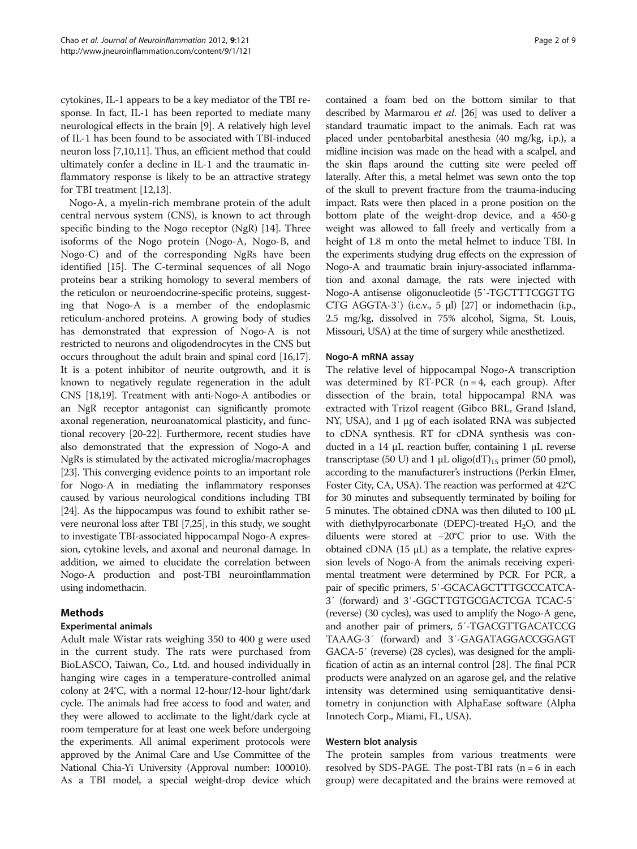cytokines, IL-1 appears to be a key mediator of the TBI response. In fact, IL-1 has been reported to mediate many neurological effects in the brain [\[9](#page-7-0)]. A relatively high level of IL-1 has been found to be associated with TBI-induced neuron loss [[7](#page-7-0),[10,11\]](#page-7-0). Thus, an efficient method that could ultimately confer a decline in IL-1 and the traumatic inflammatory response is likely to be an attractive strategy for TBI treatment [[12,13](#page-8-0)].

Nogo-A, a myelin-rich membrane protein of the adult central nervous system (CNS), is known to act through specific binding to the Nogo receptor (NgR) [[14](#page-8-0)]. Three isoforms of the Nogo protein (Nogo-A, Nogo-B, and Nogo-C) and of the corresponding NgRs have been identified [\[15](#page-8-0)]. The C-terminal sequences of all Nogo proteins bear a striking homology to several members of the reticulon or neuroendocrine-specific proteins, suggesting that Nogo-A is a member of the endoplasmic reticulum-anchored proteins. A growing body of studies has demonstrated that expression of Nogo-A is not restricted to neurons and oligodendrocytes in the CNS but occurs throughout the adult brain and spinal cord [\[16,17](#page-8-0)]. It is a potent inhibitor of neurite outgrowth, and it is known to negatively regulate regeneration in the adult CNS [\[18,19](#page-8-0)]. Treatment with anti-Nogo-A antibodies or an NgR receptor antagonist can significantly promote axonal regeneration, neuroanatomical plasticity, and functional recovery [[20](#page-8-0)-[22](#page-8-0)]. Furthermore, recent studies have also demonstrated that the expression of Nogo-A and NgRs is stimulated by the activated microglia/macrophages [[23](#page-8-0)]. This converging evidence points to an important role for Nogo-A in mediating the inflammatory responses caused by various neurological conditions including TBI [[24](#page-8-0)]. As the hippocampus was found to exhibit rather severe neuronal loss after TBI [[7](#page-7-0)[,25\]](#page-8-0), in this study, we sought to investigate TBI-associated hippocampal Nogo-A expression, cytokine levels, and axonal and neuronal damage. In addition, we aimed to elucidate the correlation between Nogo-A production and post-TBI neuroinflammation using indomethacin.

## Methods

#### Experimental animals

Adult male Wistar rats weighing 350 to 400 g were used in the current study. The rats were purchased from BioLASCO, Taiwan, Co., Ltd. and housed individually in hanging wire cages in a temperature-controlled animal colony at 24°C, with a normal 12-hour/12-hour light/dark cycle. The animals had free access to food and water, and they were allowed to acclimate to the light/dark cycle at room temperature for at least one week before undergoing the experiments. All animal experiment protocols were approved by the Animal Care and Use Committee of the National Chia-Yi University (Approval number: 100010). As a TBI model, a special weight-drop device which

contained a foam bed on the bottom similar to that described by Marmarou et al. [\[26\]](#page-8-0) was used to deliver a standard traumatic impact to the animals. Each rat was placed under pentobarbital anesthesia (40 mg/kg, i.p.), a midline incision was made on the head with a scalpel, and the skin flaps around the cutting site were peeled off laterally. After this, a metal helmet was sewn onto the top of the skull to prevent fracture from the trauma-inducing impact. Rats were then placed in a prone position on the bottom plate of the weight-drop device, and a 450-g weight was allowed to fall freely and vertically from a height of 1.8 m onto the metal helmet to induce TBI. In the experiments studying drug effects on the expression of Nogo-A and traumatic brain injury-associated inflammation and axonal damage, the rats were injected with Nogo-A antisense oligonucleotide (5′-TGCTTTCGGTTG CTG AGGTA-3′) (i.c.v., 5 μl) [\[27\]](#page-8-0) or indomethacin (i.p., 2.5 mg/kg, dissolved in 75% alcohol, Sigma, St. Louis, Missouri, USA) at the time of surgery while anesthetized.

#### Nogo-A mRNA assay

The relative level of hippocampal Nogo-A transcription was determined by RT-PCR  $(n = 4, each group)$ . After dissection of the brain, total hippocampal RNA was extracted with Trizol reagent (Gibco BRL, Grand Island, NY, USA), and 1 μg of each isolated RNA was subjected to cDNA synthesis. RT for cDNA synthesis was conducted in a 14 μL reaction buffer, containing 1 μL reverse transcriptase (50 U) and 1  $\mu$ L oligo(dT)<sub>15</sub> primer (50 pmol), according to the manufacturer's instructions (Perkin Elmer, Foster City, CA, USA). The reaction was performed at 42°C for 30 minutes and subsequently terminated by boiling for 5 minutes. The obtained cDNA was then diluted to 100 μL with diethylpyrocarbonate (DEPC)-treated  $H_2O$ , and the diluents were stored at −20°C prior to use. With the obtained cDNA (15 μL) as a template, the relative expression levels of Nogo-A from the animals receiving experimental treatment were determined by PCR. For PCR, a pair of specific primers, 5′-GCACAGCTTTGCCCATCA-3′ (forward) and 3′-GGCTTGTGCGACTCGA TCAC-5′ (reverse) (30 cycles), was used to amplify the Nogo-A gene, and another pair of primers, 5′-TGACGTTGACATCCG TAAAG-3′ (forward) and 3′-GAGATAGGACCGGAGT GACA-5′ (reverse) (28 cycles), was designed for the amplification of actin as an internal control [\[28](#page-8-0)]. The final PCR products were analyzed on an agarose gel, and the relative intensity was determined using semiquantitative densitometry in conjunction with AlphaEase software (Alpha Innotech Corp., Miami, FL, USA).

#### Western blot analysis

The protein samples from various treatments were resolved by SDS-PAGE. The post-TBI rats  $(n = 6$  in each group) were decapitated and the brains were removed at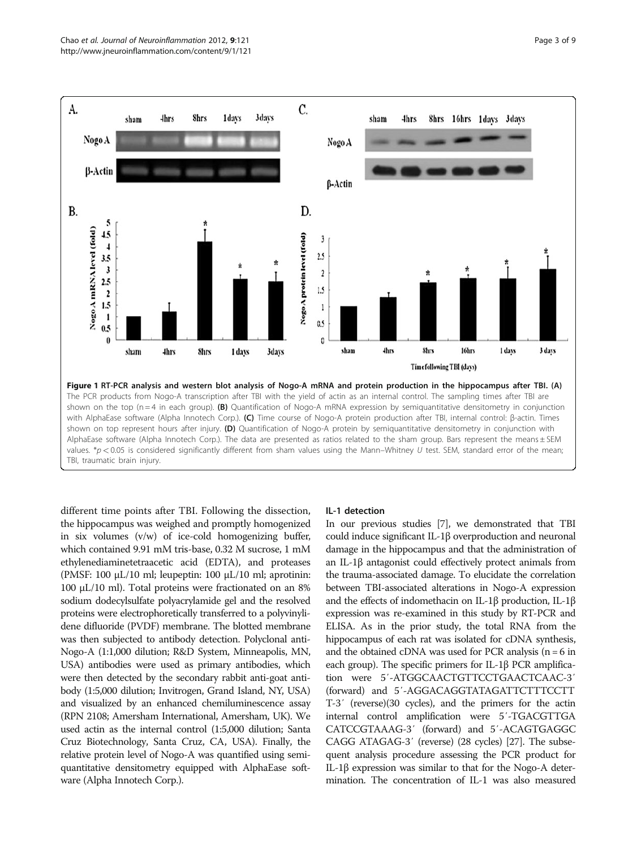<span id="page-2-0"></span>

different time points after TBI. Following the dissection, the hippocampus was weighed and promptly homogenized in six volumes (v/w) of ice-cold homogenizing buffer, which contained 9.91 mM tris-base, 0.32 M sucrose, 1 mM ethylenediaminetetraacetic acid (EDTA), and proteases (PMSF: 100 μL/10 ml; leupeptin: 100 μL/10 ml; aprotinin: 100 μL/10 ml). Total proteins were fractionated on an 8% sodium dodecylsulfate polyacrylamide gel and the resolved proteins were electrophoretically transferred to a polyvinylidene difluoride (PVDF) membrane. The blotted membrane was then subjected to antibody detection. Polyclonal anti-Nogo-A (1:1,000 dilution; R&D System, Minneapolis, MN, USA) antibodies were used as primary antibodies, which were then detected by the secondary rabbit anti-goat antibody (1:5,000 dilution; Invitrogen, Grand Island, NY, USA) and visualized by an enhanced chemiluminescence assay (RPN 2108; Amersham International, Amersham, UK). We used actin as the internal control (1:5,000 dilution; Santa Cruz Biotechnology, Santa Cruz, CA, USA). Finally, the relative protein level of Nogo-A was quantified using semiquantitative densitometry equipped with AlphaEase software (Alpha Innotech Corp.).

#### IL-1 detection

In our previous studies [[7](#page-7-0)], we demonstrated that TBI could induce significant IL-1β overproduction and neuronal damage in the hippocampus and that the administration of an IL-1β antagonist could effectively protect animals from the trauma-associated damage. To elucidate the correlation between TBI-associated alterations in Nogo-A expression and the effects of indomethacin on IL-1β production, IL-1β expression was re-examined in this study by RT-PCR and ELISA. As in the prior study, the total RNA from the hippocampus of each rat was isolated for cDNA synthesis, and the obtained cDNA was used for PCR analysis  $(n = 6$  in each group). The specific primers for IL-1β PCR amplification were 5′-ATGGCAACTGTTCCTGAACTCAAC-3′ (forward) and 5′-AGGACAGGTATAGATTCTTTCCTT T-3′ (reverse)(30 cycles), and the primers for the actin internal control amplification were 5′-TGACGTTGA CATCCGTAAAG-3′ (forward) and 5′-ACAGTGAGGC CAGG ATAGAG-3′ (reverse) (28 cycles) [\[27\]](#page-8-0). The subsequent analysis procedure assessing the PCR product for IL-1β expression was similar to that for the Nogo-A determination. The concentration of IL-1 was also measured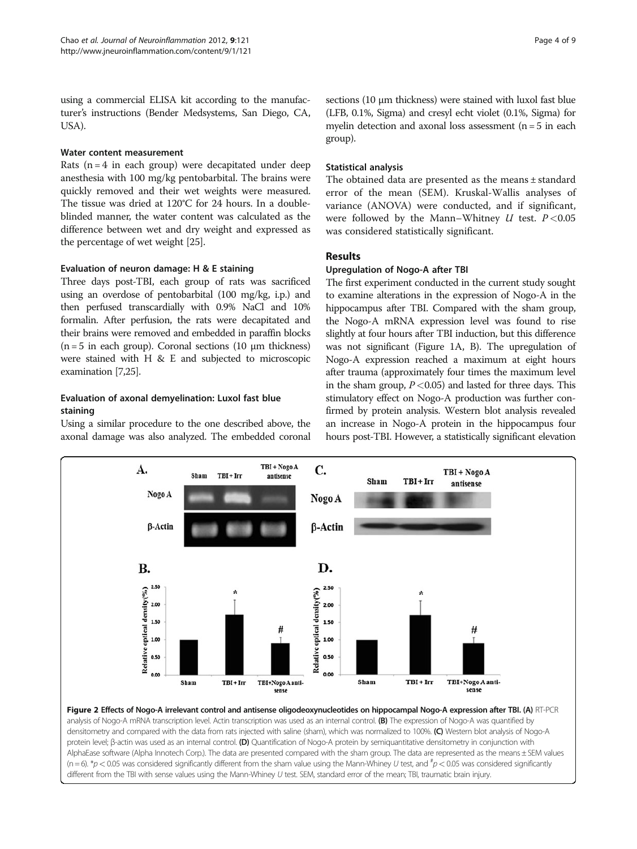<span id="page-3-0"></span>using a commercial ELISA kit according to the manufacturer's instructions (Bender Medsystems, San Diego, CA, USA).

#### Water content measurement

Rats  $(n = 4$  in each group) were decapitated under deep anesthesia with 100 mg/kg pentobarbital. The brains were quickly removed and their wet weights were measured. The tissue was dried at 120°C for 24 hours. In a doubleblinded manner, the water content was calculated as the difference between wet and dry weight and expressed as the percentage of wet weight [\[25\]](#page-8-0).

## Evaluation of neuron damage: H & E staining

Three days post-TBI, each group of rats was sacrificed using an overdose of pentobarbital (100 mg/kg, i.p.) and then perfused transcardially with 0.9% NaCl and 10% formalin. After perfusion, the rats were decapitated and their brains were removed and embedded in paraffin blocks ( $n = 5$  in each group). Coronal sections (10  $\mu$ m thickness) were stained with H & E and subjected to microscopic examination [[7](#page-7-0)[,25\]](#page-8-0).

## Evaluation of axonal demyelination: Luxol fast blue staining

Using a similar procedure to the one described above, the axonal damage was also analyzed. The embedded coronal sections (10 μm thickness) were stained with luxol fast blue (LFB, 0.1%, Sigma) and cresyl echt violet (0.1%, Sigma) for myelin detection and axonal loss assessment ( $n = 5$  in each group).

## Statistical analysis

The obtained data are presented as the means ± standard error of the mean (SEM). Kruskal-Wallis analyses of variance (ANOVA) were conducted, and if significant, were followed by the Mann–Whitney  $U$  test.  $P < 0.05$ was considered statistically significant.

## Results

## Upregulation of Nogo-A after TBI

The first experiment conducted in the current study sought to examine alterations in the expression of Nogo-A in the hippocampus after TBI. Compared with the sham group, the Nogo-A mRNA expression level was found to rise slightly at four hours after TBI induction, but this difference was not significant (Figure [1A](#page-2-0), B). The upregulation of Nogo-A expression reached a maximum at eight hours after trauma (approximately four times the maximum level in the sham group,  $P < 0.05$ ) and lasted for three days. This stimulatory effect on Nogo-A production was further confirmed by protein analysis. Western blot analysis revealed an increase in Nogo-A protein in the hippocampus four hours post-TBI. However, a statistically significant elevation



different from the TBI with sense values using the Mann-Whiney U test. SEM, standard error of the mean; TBI, traumatic brain injury.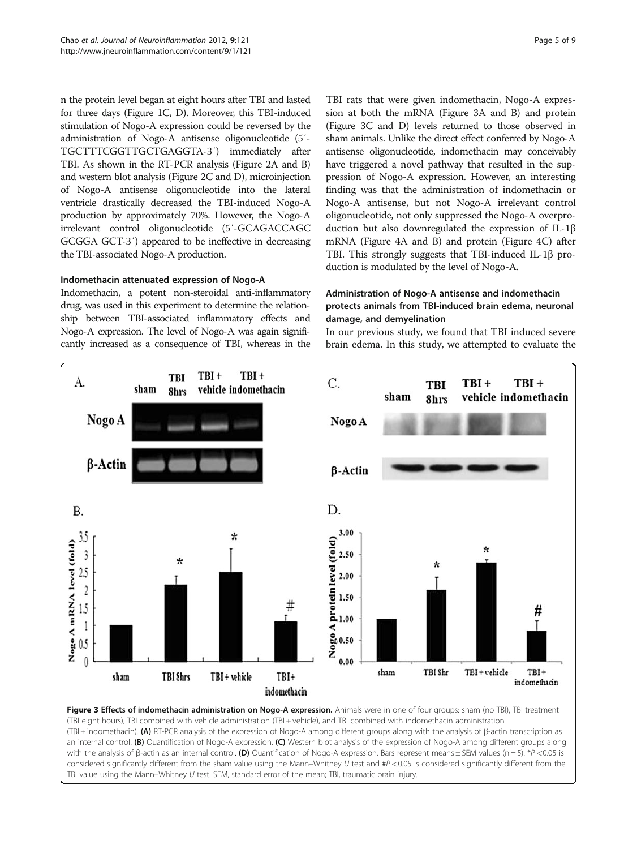n the protein level began at eight hours after TBI and lasted for three days (Figure [1C](#page-2-0), D). Moreover, this TBI-induced stimulation of Nogo-A expression could be reversed by the administration of Nogo-A antisense oligonucleotide (5′- TGCTTTCGGTTGCTGAGGTA-3′) immediately after TBI. As shown in the RT-PCR analysis (Figure [2A and B](#page-3-0)) and western blot analysis (Figure [2C and D\)](#page-3-0), microinjection of Nogo-A antisense oligonucleotide into the lateral ventricle drastically decreased the TBI-induced Nogo-A production by approximately 70%. However, the Nogo-A irrelevant control oligonucleotide (5′-GCAGACCAGC GCGGA GCT-3′) appeared to be ineffective in decreasing the TBI-associated Nogo-A production.

#### Indomethacin attenuated expression of Nogo-A

Indomethacin, a potent non-steroidal anti-inflammatory drug, was used in this experiment to determine the relationship between TBI-associated inflammatory effects and Nogo-A expression. The level of Nogo-A was again significantly increased as a consequence of TBI, whereas in the

TBI rats that were given indomethacin, Nogo-A expression at both the mRNA (Figure 3A and B) and protein (Figure 3C and D) levels returned to those observed in sham animals. Unlike the direct effect conferred by Nogo-A antisense oligonucleotide, indomethacin may conceivably have triggered a novel pathway that resulted in the suppression of Nogo-A expression. However, an interesting finding was that the administration of indomethacin or Nogo-A antisense, but not Nogo-A irrelevant control oligonucleotide, not only suppressed the Nogo-A overproduction but also downregulated the expression of IL-1β mRNA (Figure [4A and B](#page-5-0)) and protein (Figure [4C](#page-5-0)) after TBI. This strongly suggests that TBI-induced IL-1β production is modulated by the level of Nogo-A.

### Administration of Nogo-A antisense and indomethacin protects animals from TBI-induced brain edema, neuronal damage, and demyelination

In our previous study, we found that TBI induced severe brain edema. In this study, we attempted to evaluate the



(TBI + indomethacin). (A) RT-PCR analysis of the expression of Nogo-A among different groups along with the analysis of β-actin transcription as an internal control. (B) Quantification of Nogo-A expression. (C) Western blot analysis of the expression of Nogo-A among different groups along with the analysis of β-actin as an internal control. (D) Quantification of Nogo-A expression. Bars represent means ± SEM values (n = 5). \*P <0.05 is considered significantly different from the sham value using the Mann–Whitney U test and  $\#P$  <0.05 is considered significantly different from the TBI value using the Mann–Whitney U test. SEM, standard error of the mean; TBI, traumatic brain injury.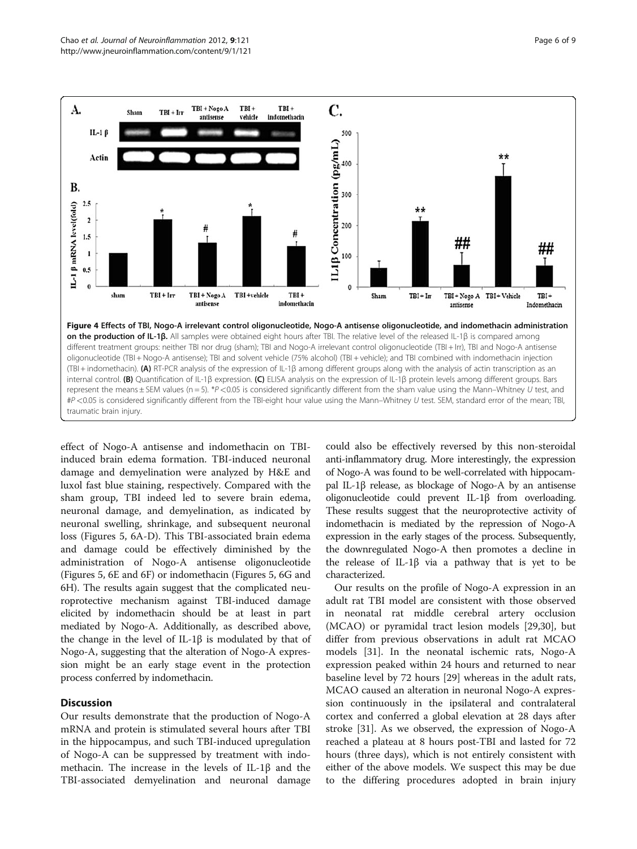<span id="page-5-0"></span>

effect of Nogo-A antisense and indomethacin on TBIinduced brain edema formation. TBI-induced neuronal damage and demyelination were analyzed by H&E and luxol fast blue staining, respectively. Compared with the sham group, TBI indeed led to severe brain edema, neuronal damage, and demyelination, as indicated by neuronal swelling, shrinkage, and subsequent neuronal loss (Figures [5, 6A-D\)](#page-6-0). This TBI-associated brain edema and damage could be effectively diminished by the administration of Nogo-A antisense oligonucleotide (Figures [5](#page-6-0), [6E](#page-6-0) and [6F\)](#page-6-0) or indomethacin (Figures [5](#page-6-0), [6G](#page-6-0) and 6H). The results again suggest that the complicated neuroprotective mechanism against TBI-induced damage elicited by indomethacin should be at least in part mediated by Nogo-A. Additionally, as described above, the change in the level of IL-1β is modulated by that of Nogo-A, suggesting that the alteration of Nogo-A expression might be an early stage event in the protection process conferred by indomethacin.

### **Discussion**

Our results demonstrate that the production of Nogo-A mRNA and protein is stimulated several hours after TBI in the hippocampus, and such TBI-induced upregulation of Nogo-A can be suppressed by treatment with indomethacin. The increase in the levels of IL-1β and the TBI-associated demyelination and neuronal damage could also be effectively reversed by this non-steroidal anti-inflammatory drug. More interestingly, the expression of Nogo-A was found to be well-correlated with hippocampal IL-1β release, as blockage of Nogo-A by an antisense oligonucleotide could prevent IL-1β from overloading. These results suggest that the neuroprotective activity of indomethacin is mediated by the repression of Nogo-A expression in the early stages of the process. Subsequently, the downregulated Nogo-A then promotes a decline in the release of IL-1β via a pathway that is yet to be characterized.

Our results on the profile of Nogo-A expression in an adult rat TBI model are consistent with those observed in neonatal rat middle cerebral artery occlusion (MCAO) or pyramidal tract lesion models [\[29,30](#page-8-0)], but differ from previous observations in adult rat MCAO models [\[31](#page-8-0)]. In the neonatal ischemic rats, Nogo-A expression peaked within 24 hours and returned to near baseline level by 72 hours [[29](#page-8-0)] whereas in the adult rats, MCAO caused an alteration in neuronal Nogo-A expression continuously in the ipsilateral and contralateral cortex and conferred a global elevation at 28 days after stroke [\[31\]](#page-8-0). As we observed, the expression of Nogo-A reached a plateau at 8 hours post-TBI and lasted for 72 hours (three days), which is not entirely consistent with either of the above models. We suspect this may be due to the differing procedures adopted in brain injury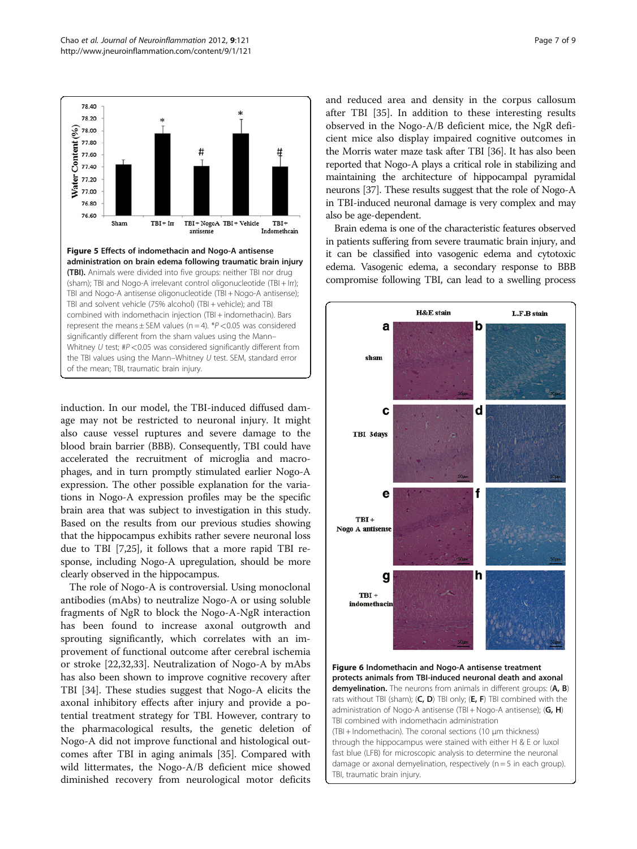<span id="page-6-0"></span>

induction. In our model, the TBI-induced diffused damage may not be restricted to neuronal injury. It might also cause vessel ruptures and severe damage to the blood brain barrier (BBB). Consequently, TBI could have accelerated the recruitment of microglia and macrophages, and in turn promptly stimulated earlier Nogo-A expression. The other possible explanation for the variations in Nogo-A expression profiles may be the specific brain area that was subject to investigation in this study. Based on the results from our previous studies showing that the hippocampus exhibits rather severe neuronal loss due to TBI [\[7](#page-7-0)[,25\]](#page-8-0), it follows that a more rapid TBI response, including Nogo-A upregulation, should be more clearly observed in the hippocampus.

The role of Nogo-A is controversial. Using monoclonal antibodies (mAbs) to neutralize Nogo-A or using soluble fragments of NgR to block the Nogo-A-NgR interaction has been found to increase axonal outgrowth and sprouting significantly, which correlates with an improvement of functional outcome after cerebral ischemia or stroke [[22,32,33\]](#page-8-0). Neutralization of Nogo-A by mAbs has also been shown to improve cognitive recovery after TBI [[34](#page-8-0)]. These studies suggest that Nogo-A elicits the axonal inhibitory effects after injury and provide a potential treatment strategy for TBI. However, contrary to the pharmacological results, the genetic deletion of Nogo-A did not improve functional and histological outcomes after TBI in aging animals [\[35](#page-8-0)]. Compared with wild littermates, the Nogo-A/B deficient mice showed diminished recovery from neurological motor deficits and reduced area and density in the corpus callosum after TBI [[35\]](#page-8-0). In addition to these interesting results observed in the Nogo-A/B deficient mice, the NgR deficient mice also display impaired cognitive outcomes in the Morris water maze task after TBI [[36](#page-8-0)]. It has also been reported that Nogo-A plays a critical role in stabilizing and maintaining the architecture of hippocampal pyramidal neurons [\[37\]](#page-8-0). These results suggest that the role of Nogo-A in TBI-induced neuronal damage is very complex and may also be age-dependent.

Brain edema is one of the characteristic features observed in patients suffering from severe traumatic brain injury, and it can be classified into vasogenic edema and cytotoxic edema. Vasogenic edema, a secondary response to BBB compromise following TBI, can lead to a swelling process



Figure 6 Indomethacin and Nogo-A antisense treatment protects animals from TBI-induced neuronal death and axonal demyelination. The neurons from animals in different groups: (A, B) rats without TBI (sham); (C, D) TBI only; (E, F) TBI combined with the administration of Nogo-A antisense (TBI + Nogo-A antisense); (G, H) TBI combined with indomethacin administration (TBI + Indomethacin). The coronal sections (10 μm thickness) through the hippocampus were stained with either H & E or luxol fast blue (LFB) for microscopic analysis to determine the neuronal damage or axonal demyelination, respectively ( $n = 5$  in each group). TBI, traumatic brain injury.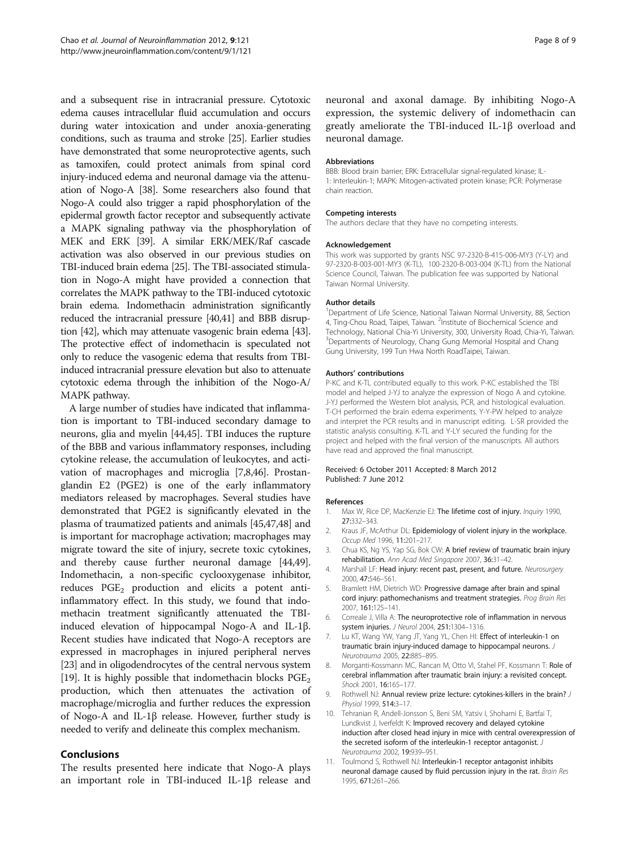<span id="page-7-0"></span>and a subsequent rise in intracranial pressure. Cytotoxic edema causes intracellular fluid accumulation and occurs during water intoxication and under anoxia-generating conditions, such as trauma and stroke [\[25\]](#page-8-0). Earlier studies have demonstrated that some neuroprotective agents, such as tamoxifen, could protect animals from spinal cord injury-induced edema and neuronal damage via the attenuation of Nogo-A [\[38](#page-8-0)]. Some researchers also found that Nogo-A could also trigger a rapid phosphorylation of the epidermal growth factor receptor and subsequently activate a MAPK signaling pathway via the phosphorylation of MEK and ERK [[39](#page-8-0)]. A similar ERK/MEK/Raf cascade activation was also observed in our previous studies on TBI-induced brain edema [\[25\]](#page-8-0). The TBI-associated stimulation in Nogo-A might have provided a connection that correlates the MAPK pathway to the TBI-induced cytotoxic brain edema. Indomethacin administration significantly reduced the intracranial pressure [[40,41\]](#page-8-0) and BBB disruption [\[42\]](#page-8-0), which may attenuate vasogenic brain edema [\[43](#page-8-0)]. The protective effect of indomethacin is speculated not only to reduce the vasogenic edema that results from TBIinduced intracranial pressure elevation but also to attenuate cytotoxic edema through the inhibition of the Nogo-A/ MAPK pathway.

A large number of studies have indicated that inflammation is important to TBI-induced secondary damage to neurons, glia and myelin [[44,45](#page-8-0)]. TBI induces the rupture of the BBB and various inflammatory responses, including cytokine release, the accumulation of leukocytes, and activation of macrophages and microglia [7,8,[46](#page-8-0)]. Prostanglandin E2 (PGE2) is one of the early inflammatory mediators released by macrophages. Several studies have demonstrated that PGE2 is significantly elevated in the plasma of traumatized patients and animals [[45](#page-8-0),[47,48\]](#page-8-0) and is important for macrophage activation; macrophages may migrate toward the site of injury, secrete toxic cytokines, and thereby cause further neuronal damage [\[44,49](#page-8-0)]. Indomethacin, a non-specific cyclooxygenase inhibitor, reduces  $PGE_2$  production and elicits a potent antiinflammatory effect. In this study, we found that indomethacin treatment significantly attenuated the TBIinduced elevation of hippocampal Nogo-A and IL-1β. Recent studies have indicated that Nogo-A receptors are expressed in macrophages in injured peripheral nerves [[23](#page-8-0)] and in oligodendrocytes of the central nervous system [[19](#page-8-0)]. It is highly possible that indomethacin blocks  $PGE_2$ production, which then attenuates the activation of macrophage/microglia and further reduces the expression of Nogo-A and IL-1β release. However, further study is needed to verify and delineate this complex mechanism.

#### Conclusions

The results presented here indicate that Nogo-A plays an important role in TBI-induced IL-1β release and neuronal and axonal damage. By inhibiting Nogo-A expression, the systemic delivery of indomethacin can greatly ameliorate the TBI-induced IL-1β overload and neuronal damage.

#### Abbreviations

BBB: Blood brain barrier; FRK: Extracellular signal-regulated kinase; IL-1: Interleukin-1; MAPK: Mitogen-activated protein kinase; PCR: Polymerase chain reaction.

#### Competing interests

The authors declare that they have no competing interests.

#### Acknowledgement

This work was supported by grants NSC 97-2320-B-415-006-MY3 (Y-LY) and 97-2320-B-003-001-MY3 (K-TL), 100-2320-B-003-004 (K-TL) from the National Science Council, Taiwan. The publication fee was supported by National Taiwan Normal University.

#### Author details

<sup>1</sup>Department of Life Science, National Taiwan Normal University, 88, Section 4, Ting-Chou Road, Taipei, Taiwan. <sup>2</sup>Institute of Biochemical Science and Technology, National Chia-Yi University, 300, University Road, Chia-Yi, Taiwan. <sup>3</sup>Departments of Neurology, Chang Gung Memorial Hospital and Chang Gung University, 199 Tun Hwa North RoadTaipei, Taiwan.

#### Authors' contributions

P-KC and K-TL contributed equally to this work. P-KC established the TBI model and helped J-YJ to analyze the expression of Nogo A and cytokine. J-YJ performed the Western blot analysis, PCR, and histological evaluation. T-CH performed the brain edema experiments. Y-Y-PW helped to analyze and interpret the PCR results and in manuscript editing. L-SR provided the statistic analysis consulting. K-TL and Y-LY secured the funding for the project and helped with the final version of the manuscripts. All authors have read and approved the final manuscript.

#### Received: 6 October 2011 Accepted: 8 March 2012 Published: 7 June 2012

#### References

- 1. Max W, Rice DP, MacKenzie EJ: The lifetime cost of injury. Inquiry 1990, 27:332–343.
- 2. Kraus JF, McArthur DL: Epidemiology of violent injury in the workplace. Occup Med 1996, 11:201–217.
- 3. Chua KS, Ng YS, Yap SG, Bok CW: A brief review of traumatic brain injury rehabilitation. Ann Acad Med Singapore 2007, 36:31–42.
- 4. Marshall LF: Head injury: recent past, present, and future. Neurosurgery 2000, 47:546–561.
- 5. Bramlett HM, Dietrich WD: Progressive damage after brain and spinal cord injury: pathomechanisms and treatment strategies. Prog Brain Res 2007, 161:125–141.
- 6. Correale J, Villa A: The neuroprotective role of inflammation in nervous system injuries. J Neurol 2004, 251:1304–1316.
- 7. Lu KT, Wang YW, Yang JT, Yang YL, Chen HI: Effect of interleukin-1 on traumatic brain injury-induced damage to hippocampal neurons. J Neurotrauma 2005, 22:885–895.
- 8. Morganti-Kossmann MC, Rancan M, Otto VI, Stahel PF, Kossmann T: Role of cerebral inflammation after traumatic brain injury: a revisited concept. Shock 2001, 16:165–177.
- 9. Rothwell NJ: Annual review prize lecture: cytokines-killers in the brain? J Physiol 1999, 514:3–17.
- 10. Tehranian R, Andell-Jonsson S, Beni SM, Yatsiv I, Shohami E, Bartfai T, Lundkvist J, Iverfeldt K: Improved recovery and delayed cytokine induction after closed head injury in mice with central overexpression of the secreted isoform of the interleukin-1 receptor antagonist. J Neurotrauma 2002, 19:939–951.
- 11. Toulmond S, Rothwell NJ: Interleukin-1 receptor antagonist inhibits neuronal damage caused by fluid percussion injury in the rat. Brain Res 1995, 671:261–266.